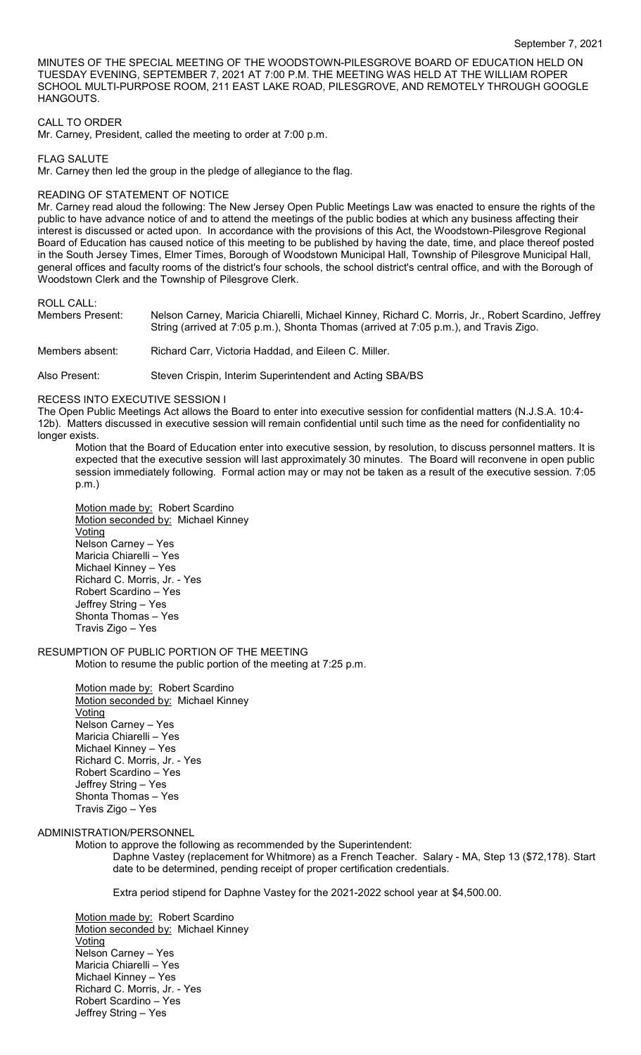MINUTES OF THE SPECIAL MEETING OF THE WOODSTOWN-PILESGROVE BOARD OF EDUCATION HELD ON TUESDAY EVENING, SEPTEMBER 7, 2021 AT 7:00 P.M. THE MEETING WAS HELD AT THE WILLIAM ROPER SCHOOL MULTI-PURPOSE ROOM, 211 EAST LAKE ROAD, PILESGROVE, AND REMOTELY THROUGH GOOGLE **HANGOUTS** 

### CALL TO ORDER

Mr. Carney, President, called the meeting to order at 7:00 p.m.

FLAG SALUTE

Mr. Carney then led the group in the pledge of allegiance to the flag.

### READING OF STATEMENT OF NOTICE

Mr. Carney read aloud the following: The New Jersey Open Public Meetings Law was enacted to ensure the rights of the public to have advance notice of and to attend the meetings of the public bodies at which any business affecting their interest is discussed or acted upon. In accordance with the provisions of this Act, the Woodstown-Pilesgrove Regional Board of Education has caused notice of this meeting to be published by having the date, time, and place thereof posted in the South Jersey Times, Elmer Times, Borough of Woodstown Municipal Hall, Township of Pilesgrove Municipal Hall, general offices and faculty rooms of the district's four schools, the school district's central office, and with the Borough of Woodstown Clerk and the Township of Pilesgrove Clerk.

ROLL CALL:

Members Present: Nelson Carney, Maricia Chiarelli, Michael Kinney, Richard C. Morris, Jr., Robert Scardino, Jeffrey String (arrived at 7:05 p.m.), Shonta Thomas (arrived at 7:05 p.m.), and Travis Zigo.

Members absent: Richard Carr, Victoria Haddad, and Eileen C. Miller.

Also Present: Steven Crispin, Interim Superintendent and Acting SBA/BS

#### RECESS INTO EXECUTIVE SESSION I

The Open Public Meetings Act allows the Board to enter into executive session for confidential matters (N.J.S.A. 10:4- 12b). Matters discussed in executive session will remain confidential until such time as the need for confidentiality no longer exists.

Motion that the Board of Education enter into executive session, by resolution, to discuss personnel matters. It is expected that the executive session will last approximately 30 minutes. The Board will reconvene in open public session immediately following. Formal action may or may not be taken as a result of the executive session. 7:05 p.m.)

Motion made by: Robert Scardino Motion seconded by: Michael Kinney Voting Nelson Carney – Yes Maricia Chiarelli – Yes Michael Kinney – Yes Richard C. Morris, Jr. - Yes Robert Scardino – Yes Jeffrey String – Yes Shonta Thomas – Yes Travis Zigo – Yes

# RESUMPTION OF PUBLIC PORTION OF THE MEETING

Motion to resume the public portion of the meeting at 7:25 p.m.

Motion made by: Robert Scardino Motion seconded by: Michael Kinney **Voting** Nelson Carney – Yes Maricia Chiarelli – Yes Michael Kinney – Yes Richard C. Morris, Jr. - Yes Robert Scardino – Yes Jeffrey String – Yes Shonta Thomas – Yes Travis Zigo – Yes

# ADMINISTRATION/PERSONNEL

Motion to approve the following as recommended by the Superintendent:

Daphne Vastey (replacement for Whitmore) as a French Teacher. Salary - MA, Step 13 (\$72,178). Start date to be determined, pending receipt of proper certification credentials.

Extra period stipend for Daphne Vastey for the 2021-2022 school year at \$4,500.00.

Motion made by: Robert Scardino Motion seconded by: Michael Kinney <u>Voting</u> Nelson Carney – Yes Maricia Chiarelli – Yes Michael Kinney – Yes Richard C. Morris, Jr. - Yes Robert Scardino – Yes Jeffrey String – Yes